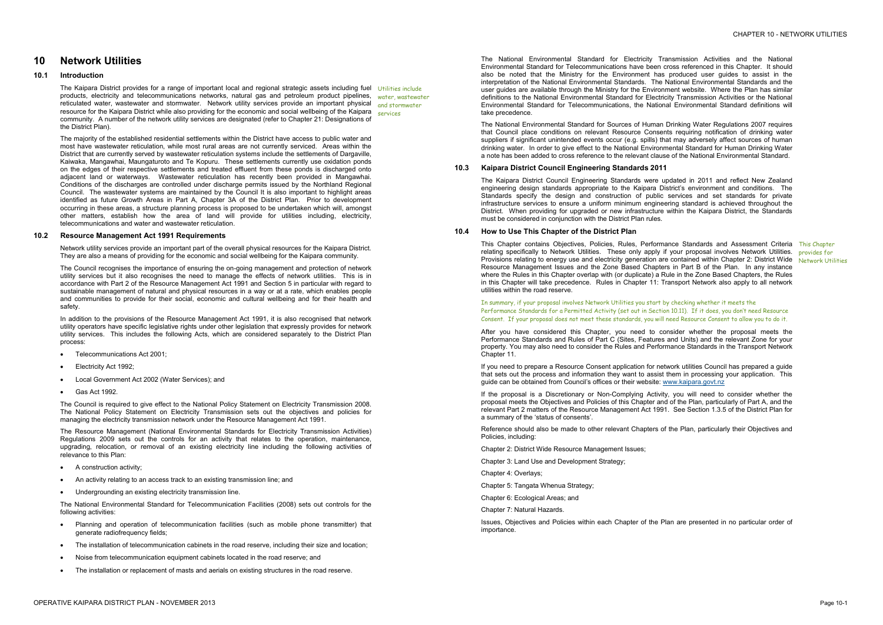# **10 Network Utilities**

## **10.1 Introduction**

The Kaipara District provides for a range of important local and regional strategic assets including fuel Utilities include products, electricity and telecommunications networks, natural gas and petroleum product pipelines, water, wastewater reticulated water, wastewater and stormwater. Network utility services provide an important physical and stormwater resource for the Kaipara District while also providing for the economic and social wellbeing of the Kaipara community. A number of the network utility services are designated (refer to Chapter 21: Designations of the District Plan).

The majority of the established residential settlements within the District have access to public water and most have wastewater reticulation, while most rural areas are not currently serviced. Areas within the District that are currently served by wastewater reticulation systems include the settlements of Dargaville, Kaiwaka, Mangawhai, Maungaturoto and Te Kopuru. These settlements currently use oxidation ponds on the edges of their respective settlements and treated effluent from these ponds is discharged onto adjacent land or waterways. Wastewater reticulation has recently been provided in Mangawhai. Conditions of the discharges are controlled under discharge permits issued by the Northland Regional Council. The wastewater systems are maintained by the Council It is also important to highlight areas identified as future Growth Areas in Part A, Chapter 3A of the District Plan. Prior to development occurring in these areas, a structure planning process is proposed to be undertaken which will, amongst other matters, establish how the area of land will provide for utilities including, electricity, telecommunications and water and wastewater reticulation.

In addition to the provisions of the Resource Management Act 1991, it is also recognised that network utility operators have specific legislative rights under other legislation that expressly provides for network utility services. This includes the following Acts, which are considered separately to the District Plan process:

services

### **10.2 Resource Management Act 1991 Requirements**

- A construction activity:
- An activity relating to an access track to an existing transmission line; and
- · Undergrounding an existing electricity transmission line.

- · Planning and operation of telecommunication facilities (such as mobile phone transmitter) that generate radiofrequency fields;
- The installation of telecommunication cabinets in the road reserve, including their size and location;
- · Noise from telecommunication equipment cabinets located in the road reserve; and
- The installation or replacement of masts and aerials on existing structures in the road reserve.

Network utility services provide an important part of the overall physical resources for the Kaipara District. They are also a means of providing for the economic and social wellbeing for the Kaipara community.

The Council recognises the importance of ensuring the on-going management and protection of network utility services but it also recognises the need to manage the effects of network utilities. This is in accordance with Part 2 of the Resource Management Act 1991 and Section 5 in particular with regard to sustainable management of natural and physical resources in a way or at a rate, which enables people and communities to provide for their social, economic and cultural wellbeing and for their health and safety.

- · Telecommunications Act 2001;
- Electricity Act 1992;
- · Local Government Act 2002 (Water Services); and
- · Gas Act 1992.

The Council is required to give effect to the National Policy Statement on Electricity Transmission 2008. The National Policy Statement on Electricity Transmission sets out the objectives and policies for managing the electricity transmission network under the Resource Management Act 1991.

This Chapter contains Objectives, Policies, Rules, Performance Standards and Assessment Criteria This Chapter relating specifically to Network Utilities. These only apply if your proposal involves Network Utilities. **provides for** Provisions relating to energy use and electricity generation are contained within Chapter 2: District Wide Network Utilities Resource Management Issues and the Zone Based Chapters in Part B of the Plan. In any instance where the Rules in this Chapter overlap with (or duplicate) a Rule in the Zone Based Chapters, the Rules in this Chapter will take precedence. Rules in Chapter 11: Transport Network also apply to all network utilities within the road reserve.

The Resource Management (National Environmental Standards for Electricity Transmission Activities) Regulations 2009 sets out the controls for an activity that relates to the operation, maintenance, upgrading, relocation, or removal of an existing electricity line including the following activities of relevance to this Plan:

The National Environmental Standard for Telecommunication Facilities (2008) sets out controls for the following activities:

The National Environmental Standard for Electricity Transmission Activities and the National Environmental Standard for Telecommunications have been cross referenced in this Chapter. It should also be noted that the Ministry for the Environment has produced user guides to assist in the interpretation of the National Environmental Standards. The National Environmental Standards and the user guides are available through the Ministry for the Environment website. Where the Plan has similar definitions to the National Environmental Standard for Electricity Transmission Activities or the National Environmental Standard for Telecommunications, the National Environmental Standard definitions will take precedence.

The National Environmental Standard for Sources of Human Drinking Water Regulations 2007 requires that Council place conditions on relevant Resource Consents requiring notification of drinking water suppliers if significant unintended events occur (e.g. spills) that may adversely affect sources of human drinking water. In order to give effect to the National Environmental Standard for Human Drinking Water a note has been added to cross reference to the relevant clause of the National Environmental Standard.

#### **10.3 Kaipara District Council Engineering Standards 2011**

The Kaipara District Council Engineering Standards were updated in 2011 and reflect New Zealand engineering design standards appropriate to the Kaipara District's environment and conditions. The Standards specify the design and construction of public services and set standards for private infrastructure services to ensure a uniform minimum engineering standard is achieved throughout the District. When providing for upgraded or new infrastructure within the Kaipara District, the Standards must be considered in conjunction with the District Plan rules.

### **10.4 How to Use This Chapter of the District Plan**

In summary, if your proposal involves Network Utilities you start by checking whether it meets the Performance Standards for a Permitted Activity (set out in Section 10.11). If it does, you don't need Resource Consent. If your proposal does not meet these standards, you will need Resource Consent to allow you to do it.

After you have considered this Chapter, you need to consider whether the proposal meets the Performance Standards and Rules of Part C (Sites, Features and Units) and the relevant Zone for your property. You may also need to consider the Rules and Performance Standards in the Transport Network Chapter 11.

If you need to prepare a Resource Consent application for network utilities Council has prepared a guide that sets out the process and information they want to assist them in processing your application. This guide can be obtained from Council's offices or their website: [www.kaipara.govt.nz](http://www.kaipara.govt.nz)

If the proposal is a Discretionary or Non-Complying Activity, you will need to consider whether the proposal meets the Objectives and Policies of this Chapter and of the Plan, particularly of Part A, and the relevant Part 2 matters of the Resource Management Act 1991. See Section 1.3.5 of the District Plan for a summary of the 'status of consents'.

Reference should also be made to other relevant Chapters of the Plan, particularly their Objectives and Policies, including:

Chapter 2: District Wide Resource Management Issues;

Chapter 3: Land Use and Development Strategy;

Chapter 4: Overlays;

Chapter 5: Tangata Whenua Strategy;

Chapter 6: Ecological Areas; and

Chapter 7: Natural Hazards.

Issues, Objectives and Policies within each Chapter of the Plan are presented in no particular order of importance.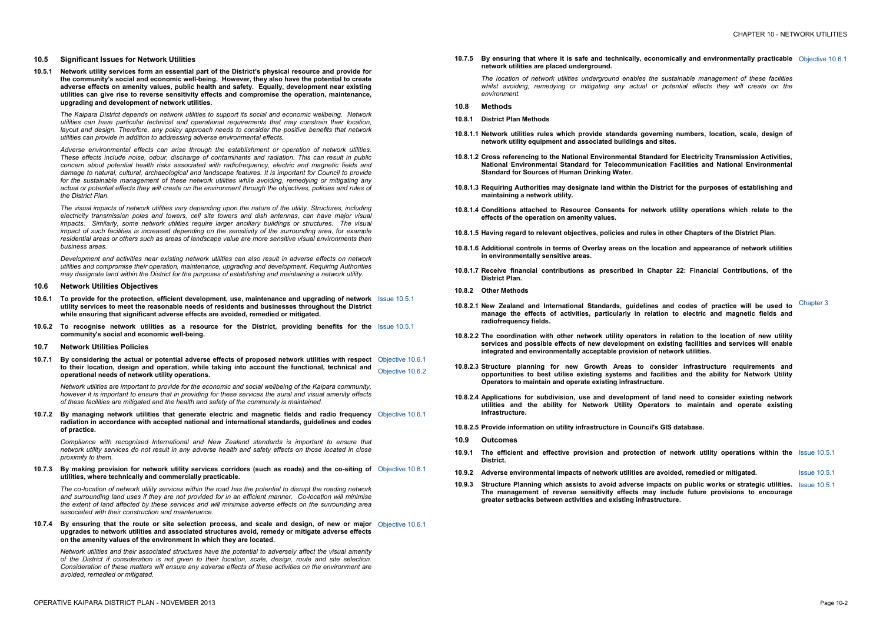#### **10.5 Significant Issues for Network Utilities**

**10.5.1 Network utility services form an essential part of the District's physical resource and provide for the community's social and economic well-being. However, they also have the potential to create adverse effects on amenity values, public health and safety. Equally, development near existing utilities can give rise to reverse sensitivity effects and compromise the operation, maintenance, upgrading and development of network utilities.**

*The Kaipara District depends on network utilities to support its social and economic wellbeing. Network utilities can have particular technical and operational requirements that may constrain their location, layout and design. Therefore, any policy approach needs to consider the positive benefits that network utilities can provide in addition to addressing adverse environmental effects.* 

- **10.6.1 To provide for the protection, efficient development, use, maintenance and upgrading of network**  Issue 10.5.1 **utility services to meet the reasonable needs of residents and businesses throughout the District while ensuring that significant adverse effects are avoided, remedied or mitigated.**
- **10.6.2 To recognise network utilities as a resource for the District, providing benefits for the**  Issue 10.5.1 **community's social and economic well-being.**
- **10.7 Network Utilities Policies**
- 10.7.1 By considering the actual or potential adverse effects of proposed network utilities with respect Objective 10.6.1 **to their location, design and operation, while taking into account the functional, technical and operational needs of network utility operations.**  Objective 10.6.2

*Adverse environmental effects can arise through the establishment or operation of network utilities. These effects include noise, odour, discharge of contaminants and radiation. This can result in public concern about potential health risks associated with radiofrequency, electric and magnetic fields and damage to natural, cultural, archaeological and landscape features. It is important for Council to provide for the sustainable management of these network utilities while avoiding, remedying or mitigating any*  actual or potential effects they will create on the environment through the objectives, policies and rules of *the District Plan.* 

*The visual impacts of network utilities vary depending upon the nature of the utility. Structures, including electricity transmission poles and towers, cell site towers and dish antennas, can have major visual impacts. Similarly, some network utilities require larger ancillary buildings or structures. The visual impact of such facilities is increased depending on the sensitivity of the surrounding area, for example residential areas or others such as areas of landscape value are more sensitive visual environments than business areas.* 

10.7.3 By making provision for network utility services corridors (such as roads) and the co-siting of Objective 10.6.1 **utilities, where technically and commercially practicable.** 

The co-location of network utility services within the road has the potential to disrupt the roading network *and surrounding land uses if they are not provided for in an efficient manner. Co-location will minimise the extent of land affected by these services and will minimise adverse effects on the surrounding area associated with their construction and maintenance.* 

*Development and activities near existing network utilities can also result in adverse effects on network utilities and compromise their operation, maintenance, upgrading and development. Requiring Authorities may designate land within the District for the purposes of establishing and maintaining a network utility.*

10.7.4 By ensuring that the route or site selection process, and scale and design, of new or major Objective 10.6.1 **upgrades to network utilities and associated structures avoid, remedy or mitigate adverse effects on the amenity values of the environment in which they are located.** 

#### **10.6 Network Utilities Objectives**

*Network utilities are important to provide for the economic and social wellbeing of the Kaipara community,*  however it is important to ensure that in providing for these services the aural and visual amenity effects *of these facilities are mitigated and the health and safety of the community is maintained.* 

**10.7.2 By managing network utilities that generate electric and magnetic fields and radio frequency**  Objective 10.6.1 **radiation in accordance with accepted national and international standards, guidelines and codes of practice.** 

*Compliance with recognised International and New Zealand standards is important to ensure that*  network utility services do not result in any adverse health and safety effects on those located in close *proximity to them.* 

*Network utilities and their associated structures have the potential to adversely affect the visual amenity*  of the District if consideration is not given to their location, scale, design, route and site selection. *Consideration of these matters will ensure any adverse effects of these activities on the environment are avoided, remedied or mitigated.* 

**10.7.5 By ensuring that where it is safe and technically, economically and environmentally practicable**  Objective 10.6.1 **network utilities are placed underground.** 

*The location of network utilities underground enables the sustainable management of these facilities whilst avoiding, remedying or mitigating any actual or potential effects they will create on the environment.* 

#### **10.8 Methods**

- **10.8.1 District Plan Methods**
- **10.8.1.1 Network utilities rules which provide standards governing numbers, location, scale, design of network utility equipment and associated buildings and sites.**
- **10.8.1.2 Cross referencing to the National Environmental Standard for Electricity Transmission Activities, National Environmental Standard for Telecommunication Facilities and National Environmental Standard for Sources of Human Drinking Water.**
- **10.8.1.3 Requiring Authorities may designate land within the District for the purposes of establishing and maintaining a network utility.**
- **10.8.1.4 Conditions attached to Resource Consents for network utility operations which relate to the effects of the operation on amenity values.**
- **10.8.1.5 Having regard to relevant objectives, policies and rules in other Chapters of the District Plan.**
- **10.8.1.6 Additional controls in terms of Overlay areas on the location and appearance of network utilities in environmentally sensitive areas.**
- **10.8.1.7 Receive financial contributions as prescribed in Chapter 22: Financial Contributions, of the District Plan.**
- **10.8.2 Other Methods**
- **10.8.2.1 New Zealand and International Standards, guidelines and codes of practice will be used to manage the effects of activities, particularly in relation to electric and magnetic fields and radiofrequency fields.**
- **10.8.2.2 The coordination with other network utility operators in relation to the location of new utility services and possible effects of new development on existing facilities and services will enable integrated and environmentally acceptable provision of network utilities.**
- **10.8.2.3 Structure planning for new Growth Areas to consider infrastructure requirements and opportunities to best utilise existing systems and facilities and the ability for Network Utility Operators to maintain and operate existing infrastructure.**
- **10.8.2.4 Applications for subdivision, use and development of land need to consider existing network utilities and the ability for Network Utility Operators to maintain and operate existing infrastructure.**
- **10.8.2.5 Provide information on utility infrastructure in Council's GIS database.**
- **10.9 Outcomes**
- **10.9.1 The efficient and effective provision and protection of network utility operations within the**  Issue 10.5.1 **District.**
- **10.9.2 Adverse environmental impacts of network utilities are avoided, remedied or mitigated.** Issue 10.5.1
- **10.9.3 Structure Planning which assists to avoid adverse impacts on public works or strategic utilities.**  Issue 10.5.1 **The management of reverse sensitivity effects may include future provisions to encourage greater setbacks between activities and existing infrastructure.**

Chapter 3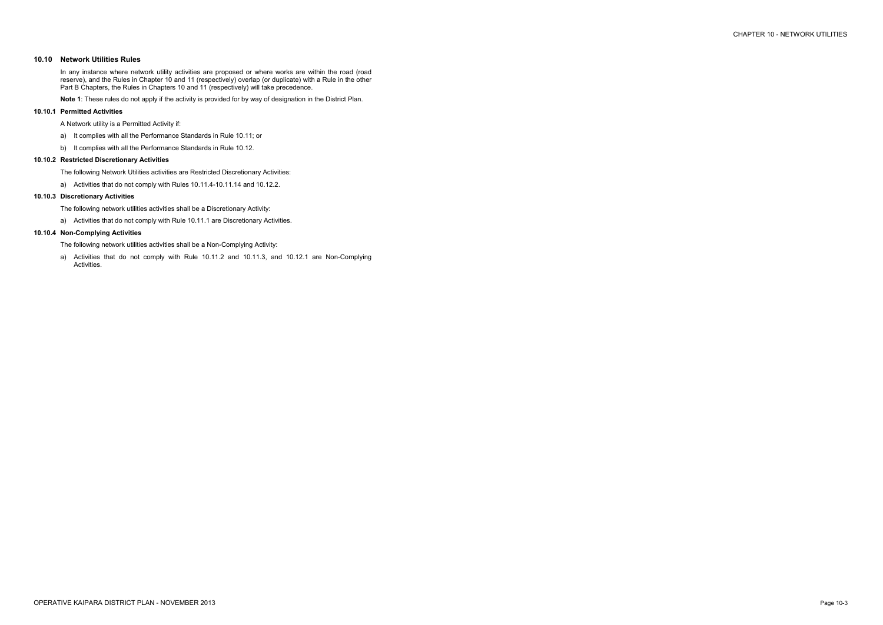## **10.10 Network Utilities Rules**

In any instance where network utility activities are proposed or where works are within the road (road reserve), and the Rules in Chapter 10 and 11 (respectively) overlap (or duplicate) with a Rule in the other Part B Chapters, the Rules in Chapters 10 and 11 (respectively) will take precedence.

**Note 1**: These rules do not apply if the activity is provided for by way of designation in the District Plan.

### **10.10.1 Permitted Activities**

A Network utility is a Permitted Activity if:

- a) It complies with all the Performance Standards in Rule 10.11; or
- b) It complies with all the Performance Standards in Rule 10.12.

## **10.10.2 Restricted Discretionary Activities**

The following Network Utilities activities are Restricted Discretionary Activities:

a) Activities that do not comply with Rules 10.11.4-10.11.14 and 10.12.2.

## **10.10.3 Discretionary Activities**

- The following network utilities activities shall be a Discretionary Activity:
- a) Activities that do not comply with Rule 10.11.1 are Discretionary Activities.

## **10.10.4 Non-Complying Activities**

- The following network utilities activities shall be a Non-Complying Activity:
- a) Activities that do not comply with Rule 10.11.2 and 10.11.3, and 10.12.1 are Non-Complying Activities.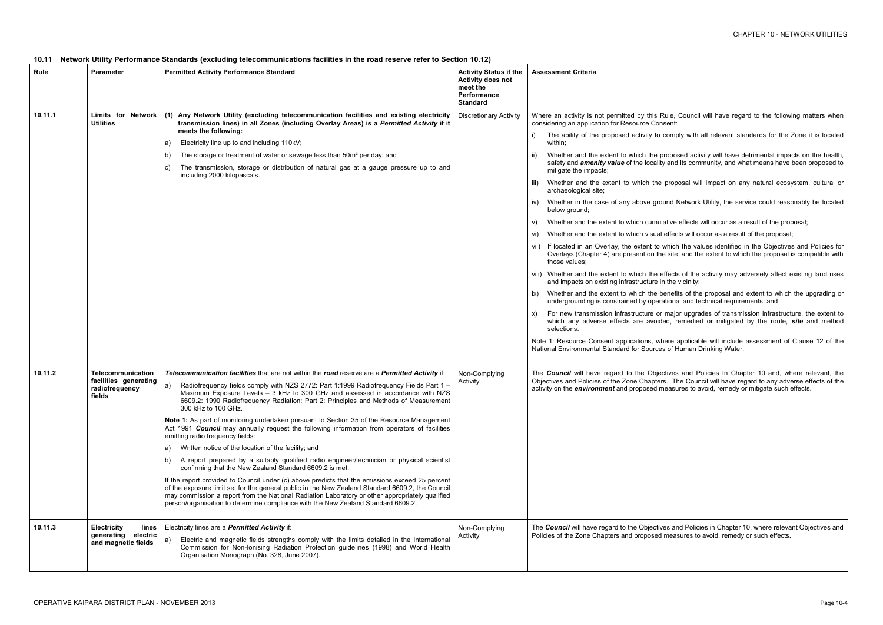Rule, Council will have regard to the following matters when sent:

comply with all relevant standards for the Zone it is located

roposed activity will have detrimental impacts on the health, *v* and its community, and what means have been proposed to

proposal will impact on any natural ecosystem, cultural or

und Network Utility, the service could reasonably be located

ative effects will occur as a result of the proposal;

effects will occur as a result of the proposal;

which the values identified in the Objectives and Policies for e site, and the extent to which the proposal is compatible with

ffects of the activity may adversely affect existing land uses ithe vicinity;

enefits of the proposal and extent to which the upgrading or ational and technical requirements; and

major upgrades of transmission infrastructure, the extent to ed, remedied or mitigated by the route, *site* and method

ere applicable will include assessment of Clause 12 of the s of Human Drinking Water.

tives and Policies In Chapter 10 and, where relevant, the s. The Council will have regard to any adverse effects of the easures to avoid, remedy or mitigate such effects.

es and Policies in Chapter 10, where relevant Objectives and measures to avoid, remedy or such effects.

| 10.11 Network Utility Performance Standards (excluding telecommunications facilities in the road reserve refer to Section 10.12) |  |  |
|----------------------------------------------------------------------------------------------------------------------------------|--|--|
|                                                                                                                                  |  |  |

| Rule    | <b>Parameter</b>                                                              | <b>Permitted Activity Performance Standard</b>                                                                                                                                                                                                                                                                                                                                                                                                                                                                                                                                                                                                                                                                                                                                                                                                                                                                                                                                                                                                                                                                                                                                                                                                              | <b>Activity Status if the</b><br><b>Activity does not</b><br>meet the<br>Performance<br><b>Standard</b> | <b>Assessment Criteria</b>                                                                                                                                                                                                                                                                                                                                                                                                                                                                                                                                                                                                              |
|---------|-------------------------------------------------------------------------------|-------------------------------------------------------------------------------------------------------------------------------------------------------------------------------------------------------------------------------------------------------------------------------------------------------------------------------------------------------------------------------------------------------------------------------------------------------------------------------------------------------------------------------------------------------------------------------------------------------------------------------------------------------------------------------------------------------------------------------------------------------------------------------------------------------------------------------------------------------------------------------------------------------------------------------------------------------------------------------------------------------------------------------------------------------------------------------------------------------------------------------------------------------------------------------------------------------------------------------------------------------------|---------------------------------------------------------------------------------------------------------|-----------------------------------------------------------------------------------------------------------------------------------------------------------------------------------------------------------------------------------------------------------------------------------------------------------------------------------------------------------------------------------------------------------------------------------------------------------------------------------------------------------------------------------------------------------------------------------------------------------------------------------------|
| 10.11.1 | Limits for Network (1)<br><b>Utilities</b>                                    | Any Network Utility (excluding telecommunication facilities and existing electricity<br>transmission lines) in all Zones (including Overlay Areas) is a Permitted Activity if it<br>meets the following:<br>Electricity line up to and including 110kV;<br>a)<br>The storage or treatment of water or sewage less than 50m <sup>3</sup> per day; and<br>b)<br>The transmission, storage or distribution of natural gas at a gauge pressure up to and<br>C)<br>including 2000 kilopascals.                                                                                                                                                                                                                                                                                                                                                                                                                                                                                                                                                                                                                                                                                                                                                                   | <b>Discretionary Activity</b>                                                                           | Where an activity is not permitted by this Ru<br>considering an application for Resource Cons<br>The ability of the proposed activity to c<br>i)<br>within;<br>Whether and the extent to which the pr<br>safety and <i>amenity value</i> of the locality<br>mitigate the impacts;<br>Whether and the extent to which the p<br>iii)<br>archaeological site;<br>Whether in the case of any above grou<br>IV)<br>below ground;<br>Whether and the extent to which cumula<br>V)<br>Whether and the extent to which visual e<br>VI)<br>If located in an Overlay, the extent to w<br>Overlays (Chapter 4) are present on the<br>those values: |
|         |                                                                               |                                                                                                                                                                                                                                                                                                                                                                                                                                                                                                                                                                                                                                                                                                                                                                                                                                                                                                                                                                                                                                                                                                                                                                                                                                                             |                                                                                                         | viii) Whether and the extent to which the ef<br>and impacts on existing infrastructure in<br>Whether and the extent to which the be<br>IX)<br>undergrounding is constrained by operat<br>For new transmission infrastructure or r<br>X)<br>which any adverse effects are avoide<br>selections.<br>Note 1: Resource Consent applications, whe<br>National Environmental Standard for Sources                                                                                                                                                                                                                                             |
| 10.11.2 | <b>Telecommunication</b><br>facilities generating<br>radiofrequency<br>fields | Telecommunication facilities that are not within the road reserve are a Permitted Activity if:<br>Radiofrequency fields comply with NZS 2772: Part 1:1999 Radiofrequency Fields Part 1 -<br>a)<br>Maximum Exposure Levels - 3 kHz to 300 GHz and assessed in accordance with NZS<br>6609.2: 1990 Radiofrequency Radiation: Part 2: Principles and Methods of Measurement<br>300 kHz to 100 GHz.<br>Note 1: As part of monitoring undertaken pursuant to Section 35 of the Resource Management<br>Act 1991 Council may annually request the following information from operators of facilities<br>emitting radio frequency fields:<br>Written notice of the location of the facility; and<br>a)<br>A report prepared by a suitably qualified radio engineer/technician or physical scientist<br>b)<br>confirming that the New Zealand Standard 6609.2 is met.<br>If the report provided to Council under (c) above predicts that the emissions exceed 25 percent<br>of the exposure limit set for the general public in the New Zealand Standard 6609.2, the Council<br>may commission a report from the National Radiation Laboratory or other appropriately qualified<br>person/organisation to determine compliance with the New Zealand Standard 6609.2. | Non-Complying<br>Activity                                                                               | The Council will have regard to the Object<br>Objectives and Policies of the Zone Chapters<br>activity on the <i>environment</i> and proposed me                                                                                                                                                                                                                                                                                                                                                                                                                                                                                        |
| 10.11.3 | <b>Electricity</b><br>lines<br>electric<br>generating<br>and magnetic fields  | Electricity lines are a <b>Permitted Activity</b> if:<br>Electric and magnetic fields strengths comply with the limits detailed in the International<br>a)<br>Commission for Non-Ionising Radiation Protection guidelines (1998) and World Health<br>Organisation Monograph (No. 328, June 2007).                                                                                                                                                                                                                                                                                                                                                                                                                                                                                                                                                                                                                                                                                                                                                                                                                                                                                                                                                           | Non-Complying<br>Activity                                                                               | The Council will have regard to the Objective<br>Policies of the Zone Chapters and proposed r                                                                                                                                                                                                                                                                                                                                                                                                                                                                                                                                           |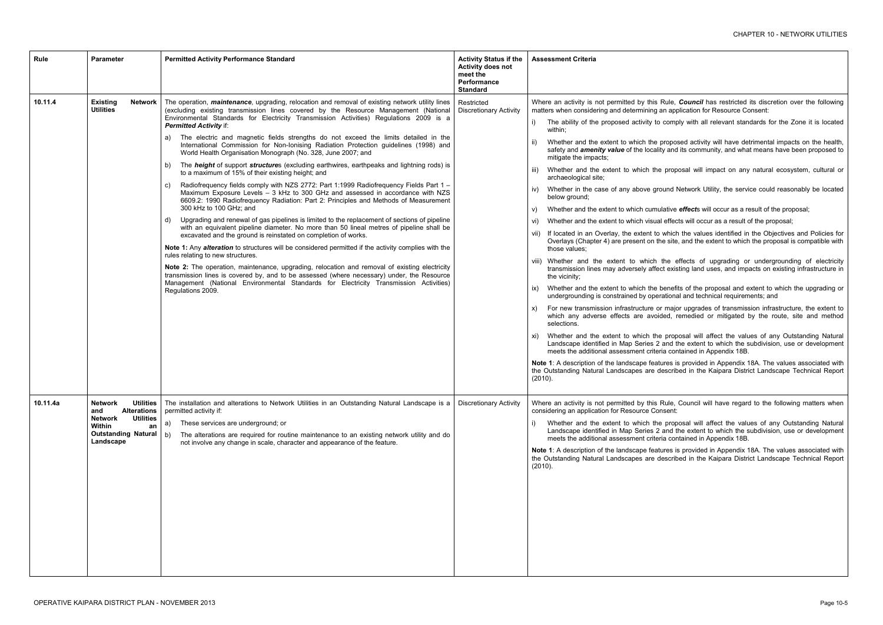lule. **Council** has restricted its discretion over the following application for Resource Consent:

comply with all relevant standards for the Zone it is located

roposed activity will have detrimental impacts on the health, *v* and its community, and what means have been proposed to

proposal will impact on any natural ecosystem, cultural or

und Network Utility, the service could reasonably be located

ative *effect*s will occur as a result of the proposal;

effects will occur as a result of the proposal;

which the values identified in the Objectives and Policies for of site, and the extent to which the proposal is compatible with

he effects of upgrading or undergrounding of electricity t existing land uses, and impacts on existing infrastructure in

enefits of the proposal and extent to which the upgrading or tional and technical requirements; and

major upgrades of transmission infrastructure, the extent to ed, remedied or mitigated by the route, site and method

proposal will affect the values of any Outstanding Natural and the extent to which the subdivision, use or development contained in Appendix 18B.

res is provided in Appendix 18A. The values associated with scribed in the Kaipara District Landscape Technical Report

Rule, Council will have regard to the following matters when

proposal will affect the values of any Outstanding Natural and the extent to which the subdivision, use or development contained in Appendix 18B.

res is provided in Appendix 18A. The values associated with scribed in the Kaipara District Landscape Technical Report

| Rule     | <b>Parameter</b>                                                                                                                                                 | <b>Permitted Activity Performance Standard</b>                                                                                                                                                                                                                                                                                                                                                                                                                                                                                                                                                                                                                                                                                                                                                                                                                                                                                                                                                                                                                                                                                                                                                                                                                                                                                                                                                                                                                                                                                                                                                                                                                                                                                                                                          | <b>Activity Status if the</b><br><b>Activity does not</b><br>meet the<br>Performance<br><b>Standard</b> | <b>Assessment Criteria</b>                                                                                                                                                                                                                                                                                                                                                                                                                                                                                                                                                                                                                                                                                                                                                                                                                                                                                                                                                                                                                                                                                                                                                                                                                                                                                     |
|----------|------------------------------------------------------------------------------------------------------------------------------------------------------------------|-----------------------------------------------------------------------------------------------------------------------------------------------------------------------------------------------------------------------------------------------------------------------------------------------------------------------------------------------------------------------------------------------------------------------------------------------------------------------------------------------------------------------------------------------------------------------------------------------------------------------------------------------------------------------------------------------------------------------------------------------------------------------------------------------------------------------------------------------------------------------------------------------------------------------------------------------------------------------------------------------------------------------------------------------------------------------------------------------------------------------------------------------------------------------------------------------------------------------------------------------------------------------------------------------------------------------------------------------------------------------------------------------------------------------------------------------------------------------------------------------------------------------------------------------------------------------------------------------------------------------------------------------------------------------------------------------------------------------------------------------------------------------------------------|---------------------------------------------------------------------------------------------------------|----------------------------------------------------------------------------------------------------------------------------------------------------------------------------------------------------------------------------------------------------------------------------------------------------------------------------------------------------------------------------------------------------------------------------------------------------------------------------------------------------------------------------------------------------------------------------------------------------------------------------------------------------------------------------------------------------------------------------------------------------------------------------------------------------------------------------------------------------------------------------------------------------------------------------------------------------------------------------------------------------------------------------------------------------------------------------------------------------------------------------------------------------------------------------------------------------------------------------------------------------------------------------------------------------------------|
| 10.11.4  | <b>Existing</b><br>Network<br><b>Utilities</b>                                                                                                                   | The operation, <i>maintenance</i> , upgrading, relocation and removal of existing network utility lines<br>(excluding existing transmission lines covered by the Resource Management (National<br>Environmental Standards for Electricity Transmission Activities) Regulations 2009 is a<br><b>Permitted Activity if:</b><br>The electric and magnetic fields strengths do not exceed the limits detailed in the<br>a)<br>International Commission for Non-Ionising Radiation Protection guidelines (1998) and<br>World Health Organisation Monograph (No. 328, June 2007; and<br>The <i>height</i> of support <i>structure</i> s (excluding earthwires, earthpeaks and lightning rods) is<br>b)<br>to a maximum of 15% of their existing height; and<br>Radiofrequency fields comply with NZS 2772: Part 1:1999 Radiofrequency Fields Part 1 -<br>C)<br>Maximum Exposure Levels - 3 kHz to 300 GHz and assessed in accordance with NZS<br>6609.2: 1990 Radiofrequency Radiation: Part 2: Principles and Methods of Measurement<br>300 kHz to 100 GHz; and<br>Upgrading and renewal of gas pipelines is limited to the replacement of sections of pipeline<br>d)<br>with an equivalent pipeline diameter. No more than 50 lineal metres of pipeline shall be<br>excavated and the ground is reinstated on completion of works.<br>Note 1: Any alteration to structures will be considered permitted if the activity complies with the<br>rules relating to new structures.<br>Note 2: The operation, maintenance, upgrading, relocation and removal of existing electricity<br>transmission lines is covered by, and to be assessed (where necessary) under, the Resource<br>Management (National Environmental Standards for Electricity Transmission Activities)<br>Regulations 2009. | Restricted<br><b>Discretionary Activity</b>                                                             | Where an activity is not permitted by this Rule,<br>matters when considering and determining an app<br>The ability of the proposed activity to comp<br>i)<br>within;<br>Whether and the extent to which the propos<br>ii)<br>safety and <i>amenity value</i> of the locality and<br>mitigate the impacts;<br>Whether and the extent to which the prope<br>III)<br>archaeological site;<br>Whether in the case of any above ground N<br>IV)<br>below ground;<br>Whether and the extent to which cumulative<br>V)<br>Whether and the extent to which visual effect<br>Vİ)<br>If located in an Overlay, the extent to which<br>VII)<br>Overlays (Chapter 4) are present on the site,<br>those values;<br>viii) Whether and the extent to which the e<br>transmission lines may adversely affect exis<br>the vicinity;<br>Whether and the extent to which the benefit<br>IX)<br>undergrounding is constrained by operationa<br>For new transmission infrastructure or majo<br>X)<br>which any adverse effects are avoided, re<br>selections.<br>Whether and the extent to which the prop-<br>XI)<br>Landscape identified in Map Series 2 and th<br>meets the additional assessment criteria con<br>Note 1: A description of the landscape features is<br>the Outstanding Natural Landscapes are describ<br>(2010). |
| 10.11.4a | <b>Utilities</b><br><b>Network</b><br><b>Alterations</b><br>and<br><b>Utilities</b><br><b>Network</b><br>Within<br>an<br><b>Outstanding Natural</b><br>Landscape | The installation and alterations to Network Utilities in an Outstanding Natural Landscape is a<br>permitted activity if:<br>These services are underground; or<br>a)<br>The alterations are required for routine maintenance to an existing network utility and do<br>b)<br>not involve any change in scale, character and appearance of the feature.                                                                                                                                                                                                                                                                                                                                                                                                                                                                                                                                                                                                                                                                                                                                                                                                                                                                                                                                                                                                                                                                                                                                                                                                                                                                                                                                                                                                                                   | <b>Discretionary Activity</b>                                                                           | Where an activity is not permitted by this Rule,<br>considering an application for Resource Consent:<br>Whether and the extent to which the prop-<br>i)<br>Landscape identified in Map Series 2 and th<br>meets the additional assessment criteria con<br>Note 1: A description of the landscape features is<br>the Outstanding Natural Landscapes are describ<br>(2010).                                                                                                                                                                                                                                                                                                                                                                                                                                                                                                                                                                                                                                                                                                                                                                                                                                                                                                                                      |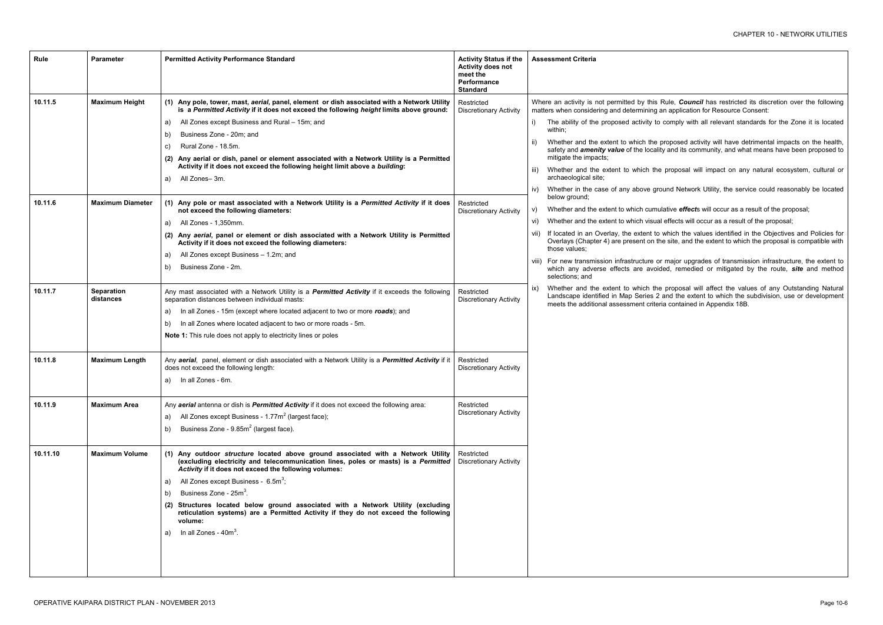- Rule. **Council** has restricted its discretion over the following n application for Resource Consent:
- comply with all relevant standards for the Zone it is located
- roposed activity will have detrimental impacts on the health, *v* and its community, and what means have been proposed to
- proposal will impact on any natural ecosystem, cultural or
- und Network Utility, the service could reasonably be located
- ative *effect*s will occur as a result of the proposal;
- effects will occur as a result of the proposal;
- which the values identified in the Objectives and Policies for e site, and the extent to which the proposal is compatible with
- viii) For new transmission infrastructure or major upgrades of transmission infrastructure, the extent to which any adverse effects are avoided, remedied or mitigated by the route, *site* and method
	- proposal will affect the values of any Outstanding Natural and the extent to which the subdivision, use or development i contained in Appendix 18B.

| Rule     | <b>Parameter</b>               | <b>Permitted Activity Performance Standard</b>                                                                                                                                                                                  | <b>Activity Status if the</b><br><b>Activity does not</b><br>meet the<br>Performance<br><b>Standard</b> | <b>Assessment Criteria</b>                                                                                                       |  |
|----------|--------------------------------|---------------------------------------------------------------------------------------------------------------------------------------------------------------------------------------------------------------------------------|---------------------------------------------------------------------------------------------------------|----------------------------------------------------------------------------------------------------------------------------------|--|
| 10.11.5  | <b>Maximum Height</b>          | (1) Any pole, tower, mast, aerial, panel, element or dish associated with a Network Utility<br>is a Permitted Activity if it does not exceed the following height limits above ground:                                          | Restricted<br><b>Discretionary Activity</b>                                                             | Where an activity is not permitted by this R<br>matters when considering and determining ar                                      |  |
|          |                                | All Zones except Business and Rural - 15m; and<br>a)<br>Business Zone - 20m; and                                                                                                                                                |                                                                                                         | The ability of the proposed activity to c<br>i)<br>within;                                                                       |  |
|          |                                | b)<br>Rural Zone - 18.5m.<br>C)<br>(2) Any aerial or dish, panel or element associated with a Network Utility is a Permitted                                                                                                    |                                                                                                         | Whether and the extent to which the pr<br>safety and <i>amenity value</i> of the locality<br>mitigate the impacts;               |  |
|          |                                | Activity if it does not exceed the following height limit above a building:<br>All Zones-3m.<br>a)                                                                                                                              |                                                                                                         | Whether and the extent to which the<br>TIL)<br>archaeological site;                                                              |  |
|          |                                |                                                                                                                                                                                                                                 |                                                                                                         | Whether in the case of any above grou<br>IV)<br>below ground;                                                                    |  |
| 10.11.6  | <b>Maximum Diameter</b>        | (1) Any pole or mast associated with a Network Utility is a Permitted Activity if it does<br>not exceed the following diameters:                                                                                                | Restricted<br><b>Discretionary Activity</b>                                                             | Whether and the extent to which cumula<br>V)                                                                                     |  |
|          |                                | All Zones - 1,350mm.<br>a)                                                                                                                                                                                                      |                                                                                                         | Whether and the extent to which visual e<br>Vİ)                                                                                  |  |
|          |                                | Any aerial, panel or element or dish associated with a Network Utility is Permitted<br>(2)<br>Activity if it does not exceed the following diameters:                                                                           |                                                                                                         | If located in an Overlay, the extent to w<br>Overlays (Chapter 4) are present on the<br>those values:                            |  |
|          |                                | All Zones except Business - 1.2m; and<br>a)                                                                                                                                                                                     |                                                                                                         | viii) For new transmission infrastructure or                                                                                     |  |
|          |                                | Business Zone - 2m.<br>b)                                                                                                                                                                                                       |                                                                                                         | which any adverse effects are avoide<br>selections; and                                                                          |  |
| 10.11.7  | <b>Separation</b><br>distances | Any mast associated with a Network Utility is a Permitted Activity if it exceeds the following<br>separation distances between individual masts:                                                                                | Restricted<br><b>Discretionary Activity</b>                                                             | Whether and the extent to which the<br>IX)<br>Landscape identified in Map Series 2 a<br>meets the additional assessment criteria |  |
|          |                                | In all Zones - 15m (except where located adjacent to two or more roads); and<br>a)                                                                                                                                              |                                                                                                         |                                                                                                                                  |  |
|          |                                | In all Zones where located adjacent to two or more roads - 5m.<br>b)                                                                                                                                                            |                                                                                                         |                                                                                                                                  |  |
|          |                                | <b>Note 1:</b> This rule does not apply to electricity lines or poles                                                                                                                                                           |                                                                                                         |                                                                                                                                  |  |
| 10.11.8  | <b>Maximum Length</b>          | Any aerial, panel, element or dish associated with a Network Utility is a Permitted Activity if it<br>does not exceed the following length:                                                                                     | Restricted<br><b>Discretionary Activity</b>                                                             |                                                                                                                                  |  |
|          |                                | In all Zones - 6m.<br>a)                                                                                                                                                                                                        |                                                                                                         |                                                                                                                                  |  |
| 10.11.9  | <b>Maximum Area</b>            | Any aerial antenna or dish is Permitted Activity if it does not exceed the following area:                                                                                                                                      | Restricted<br><b>Discretionary Activity</b>                                                             |                                                                                                                                  |  |
|          |                                | All Zones except Business - 1.77m <sup>2</sup> (largest face);<br>a)                                                                                                                                                            |                                                                                                         |                                                                                                                                  |  |
|          |                                | Business Zone - 9.85m <sup>2</sup> (largest face).<br>b)                                                                                                                                                                        |                                                                                                         |                                                                                                                                  |  |
| 10.11.10 | <b>Maximum Volume</b>          | (1) Any outdoor structure located above ground associated with a Network Utility<br>(excluding electricity and telecommunication lines, poles or masts) is a Permitted<br>Activity if it does not exceed the following volumes: | Restricted<br><b>Discretionary Activity</b>                                                             |                                                                                                                                  |  |
|          |                                | All Zones except Business - $6.5m^3$ ;<br>a)                                                                                                                                                                                    |                                                                                                         |                                                                                                                                  |  |
|          |                                | Business Zone - 25m <sup>3</sup> .<br>b)                                                                                                                                                                                        |                                                                                                         |                                                                                                                                  |  |
|          |                                | (2) Structures located below ground associated with a Network Utility (excluding<br>reticulation systems) are a Permitted Activity if they do not exceed the following<br>volume:                                               |                                                                                                         |                                                                                                                                  |  |
|          |                                | In all Zones - $40m^3$ .<br>a)                                                                                                                                                                                                  |                                                                                                         |                                                                                                                                  |  |
|          |                                |                                                                                                                                                                                                                                 |                                                                                                         |                                                                                                                                  |  |
|          |                                |                                                                                                                                                                                                                                 |                                                                                                         |                                                                                                                                  |  |
|          |                                |                                                                                                                                                                                                                                 |                                                                                                         |                                                                                                                                  |  |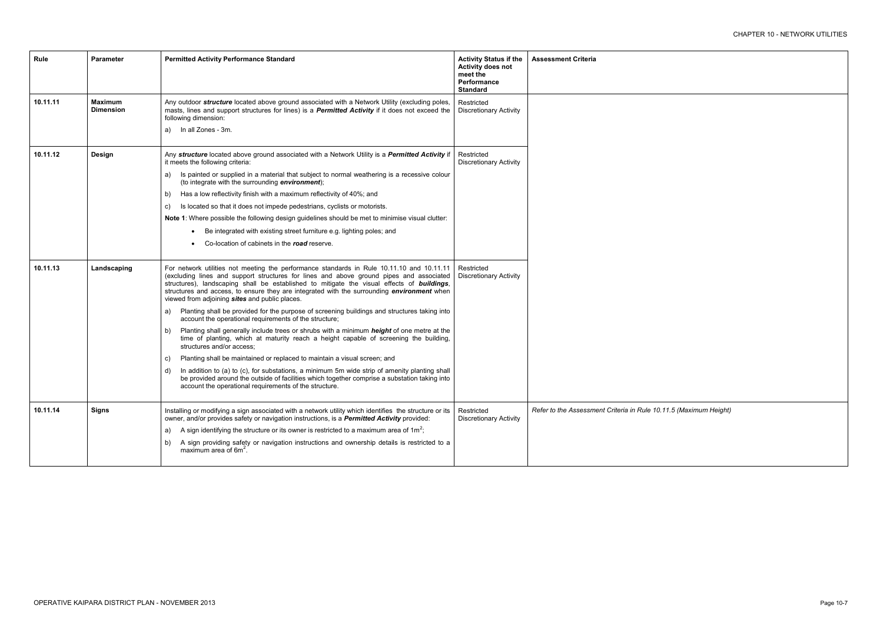| Rule     | <b>Parameter</b>                   | <b>Permitted Activity Performance Standard</b>                                                                                                                                                                                                                                                                                                                                                                                            | <b>Activity Status if the</b><br><b>Activity does not</b><br>meet the<br>Performance<br><b>Standard</b> | <b>Assessment Criteria</b>                  |
|----------|------------------------------------|-------------------------------------------------------------------------------------------------------------------------------------------------------------------------------------------------------------------------------------------------------------------------------------------------------------------------------------------------------------------------------------------------------------------------------------------|---------------------------------------------------------------------------------------------------------|---------------------------------------------|
| 10.11.11 | <b>Maximum</b><br><b>Dimension</b> | Any outdoor structure located above ground associated with a Network Utility (excluding poles,<br>masts, lines and support structures for lines) is a Permitted Activity if it does not exceed the<br>following dimension:                                                                                                                                                                                                                | Restricted<br><b>Discretionary Activity</b>                                                             |                                             |
|          |                                    | In all Zones - 3m.<br>a)                                                                                                                                                                                                                                                                                                                                                                                                                  |                                                                                                         |                                             |
| 10.11.12 | <b>Design</b>                      | Any structure located above ground associated with a Network Utility is a Permitted Activity if<br>it meets the following criteria:                                                                                                                                                                                                                                                                                                       | Restricted<br><b>Discretionary Activity</b>                                                             |                                             |
|          |                                    | Is painted or supplied in a material that subject to normal weathering is a recessive colour<br>a)<br>(to integrate with the surrounding environment);                                                                                                                                                                                                                                                                                    |                                                                                                         |                                             |
|          |                                    | Has a low reflectivity finish with a maximum reflectivity of 40%; and<br>b)                                                                                                                                                                                                                                                                                                                                                               |                                                                                                         |                                             |
|          |                                    | Is located so that it does not impede pedestrians, cyclists or motorists.<br>C)                                                                                                                                                                                                                                                                                                                                                           |                                                                                                         |                                             |
|          |                                    | Note 1: Where possible the following design guidelines should be met to minimise visual clutter:                                                                                                                                                                                                                                                                                                                                          |                                                                                                         |                                             |
|          |                                    | Be integrated with existing street furniture e.g. lighting poles; and                                                                                                                                                                                                                                                                                                                                                                     |                                                                                                         |                                             |
|          |                                    | Co-location of cabinets in the road reserve.                                                                                                                                                                                                                                                                                                                                                                                              |                                                                                                         |                                             |
| 10.11.13 | Landscaping                        | For network utilities not meeting the performance standards in Rule 10.11.10 and 10.11.11<br>(excluding lines and support structures for lines and above ground pipes and associated<br>structures), landscaping shall be established to mitigate the visual effects of buildings,<br>structures and access, to ensure they are integrated with the surrounding <i>environment</i> when<br>viewed from adjoining sites and public places. | Restricted<br><b>Discretionary Activity</b>                                                             |                                             |
|          |                                    | Planting shall be provided for the purpose of screening buildings and structures taking into<br>a)<br>account the operational requirements of the structure;                                                                                                                                                                                                                                                                              |                                                                                                         |                                             |
|          |                                    | Planting shall generally include trees or shrubs with a minimum <i>height</i> of one metre at the<br>b)<br>time of planting, which at maturity reach a height capable of screening the building,<br>structures and/or access;                                                                                                                                                                                                             |                                                                                                         |                                             |
|          |                                    | Planting shall be maintained or replaced to maintain a visual screen; and<br>C)                                                                                                                                                                                                                                                                                                                                                           |                                                                                                         |                                             |
|          |                                    | In addition to (a) to (c), for substations, a minimum 5m wide strip of amenity planting shall<br>d)<br>be provided around the outside of facilities which together comprise a substation taking into<br>account the operational requirements of the structure.                                                                                                                                                                            |                                                                                                         |                                             |
| 10.11.14 | <b>Signs</b>                       | Installing or modifying a sign associated with a network utility which identifies the structure or its<br>owner, and/or provides safety or navigation instructions, is a Permitted Activity provided:                                                                                                                                                                                                                                     | Restricted<br><b>Discretionary Activity</b>                                                             | Refer to the Assessment Criteria in Rule 10 |
|          |                                    | A sign identifying the structure or its owner is restricted to a maximum area of $1m^2$ ;<br>a)                                                                                                                                                                                                                                                                                                                                           |                                                                                                         |                                             |
|          |                                    | A sign providing safety or navigation instructions and ownership details is restricted to a<br>b)<br>maximum area of $6m2$ .                                                                                                                                                                                                                                                                                                              |                                                                                                         |                                             |
|          |                                    |                                                                                                                                                                                                                                                                                                                                                                                                                                           |                                                                                                         |                                             |

*Refer to the Assessment Criteria in Rule 10.11.5 (Maximum Height)*